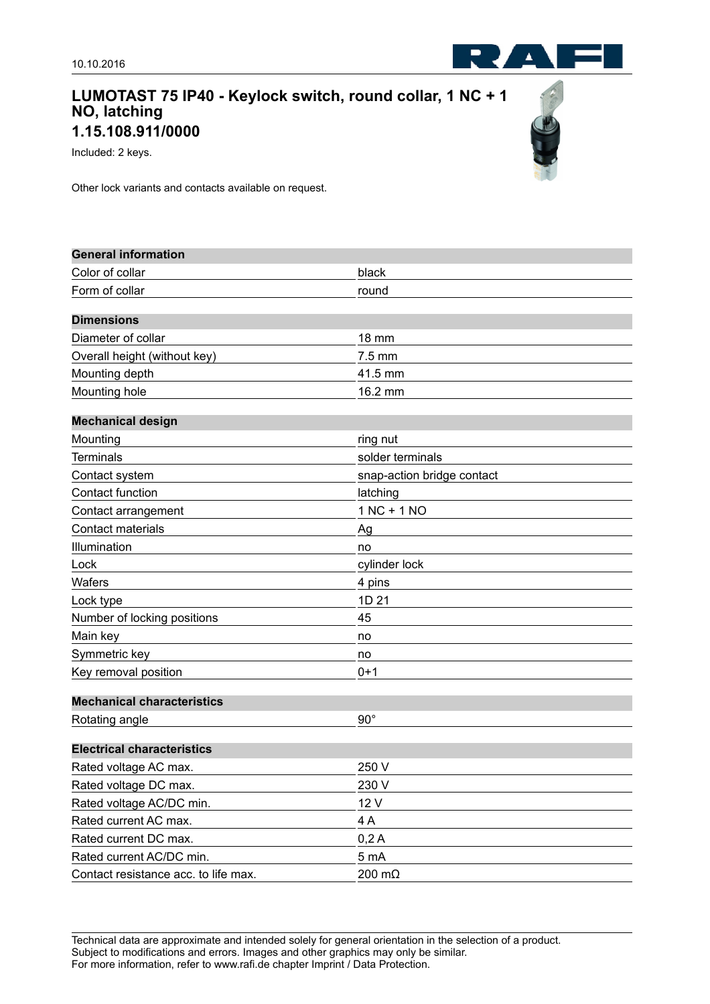## **LUMOTAST 75 IP40 - Keylock switch, round collar, 1 NC + 1 NO, latching 1.15.108.911/0000**

Included: 2 keys.

Other lock variants and contacts available on request.

| <b>General information</b>           |                            |
|--------------------------------------|----------------------------|
| Color of collar                      | black                      |
| Form of collar                       | round                      |
|                                      |                            |
| <b>Dimensions</b>                    |                            |
| Diameter of collar                   | <b>18 mm</b>               |
| Overall height (without key)         | 7.5 mm                     |
| Mounting depth                       | 41.5 mm                    |
| Mounting hole                        | 16.2 mm                    |
| <b>Mechanical design</b>             |                            |
| Mounting                             | ring nut                   |
| <b>Terminals</b>                     | solder terminals           |
| Contact system                       | snap-action bridge contact |
| Contact function                     | latching                   |
| Contact arrangement                  | $1 NC + 1 NO$              |
| Contact materials                    | Ag                         |
| Illumination                         | no                         |
| Lock                                 | cylinder lock              |
| Wafers                               | 4 pins                     |
| Lock type                            | 1D 21                      |
| Number of locking positions          | 45                         |
| Main key                             | no                         |
| Symmetric key                        | no                         |
| Key removal position                 | $0 + 1$                    |
| <b>Mechanical characteristics</b>    |                            |
| Rotating angle                       | $90^\circ$                 |
| <b>Electrical characteristics</b>    |                            |
|                                      |                            |
| Rated voltage AC max.                | 250 V                      |
| Rated voltage DC max.                | 230 V                      |
| Rated voltage AC/DC min.             | 12 V                       |
| Rated current AC max.                | 4A                         |
| Rated current DC max.                | 0,2A                       |
| Rated current AC/DC min.             | 5 mA                       |
| Contact resistance acc. to life max. | 200 mΩ                     |

Technical data are approximate and intended solely for general orientation in the selection of a product. Subject to modifications and errors. Images and other graphics may only be similar. For more information, refer to www.rafi.de chapter Imprint / Data Protection.